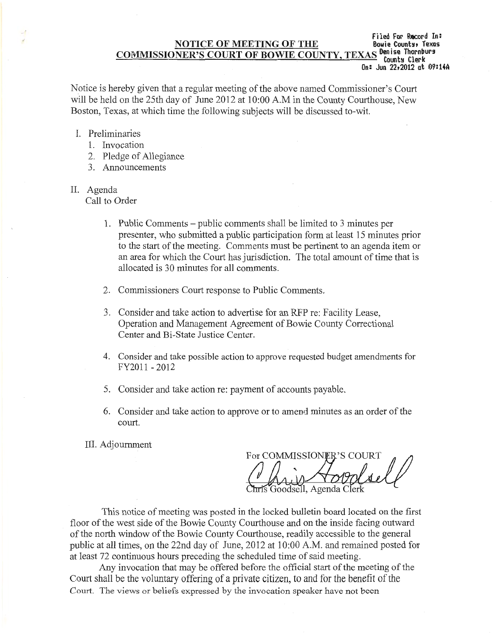## **Filed For Record** In: **NOTICE OF MEETING OF THE** COMMISSIONER'S COURT OF BOWIE COUNTY, TEXAS Denise Thornburs **On: Jun 22t2012 at 09:1iA**

Notice is hereby given that a regular meeting of the above named Commissioner's Court will be held on the 25th day of June 2012 at 10:00 A.M in the County Courthouse, New Boston, Texas, at which time the following subjects will be discussed to-wit.

- I. Preliminaries
	- 1. Invocation
	- 2. Pledge of Allegiance
	- 3. Announcements

## II. Agenda

Call to Order

- **1.** Public Comments public comments shall be limited to 3 minutes per presenter, who submitted a public participation form at least 15 minutes prior to the start of the meeting. Comments must be pertinent to an agenda item or an area for which the Court has jurisdiction. The total amount of time that is allocated is 30 minutes for all comments.
- 2. Commissioners Court response to Public Comments.
- 3. Consider and take action to advertise for an RFP re: Facility Lease, Operation and Management Agreement of Bowie County Correctional Center and Bi-State Justice Center.
- 4. Consider and take possible action to approve requested budget amendments for FY2011 - 2012
- 5. Consider and take action re: payment of accounts payable.
- 6. Consider and take action to approve or to amend minutes as an order of the court.

III. Adjournment

For COMMISSIONER'S COURT Goodsell, Agenda C

This notice of meeting was posted in the locked bulletin board located on the first floor of the west side of the Bowie County Courthouse and on the inside facing outward of the north window of the Bowie County Courthouse, readily accessible to the general public at all times, on the 22nd day of June, 2012 at 10:00 A.M. and remained posted for at least 72 continuous hours preceding the scheduled time of said meeting.

Any invocation that may be offered before the official start of the meeting of the Court shall be the voluntary offering of a private citizen, to and for the benefit of the Court. The views or beliefs expressed by the invocation speaker have not been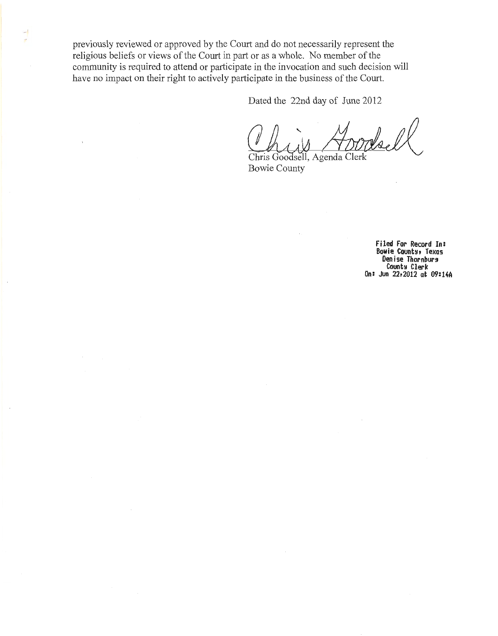previously reviewed or approved by the Court and do not necessarily represent the religious beliefs or views of the Court in part or as a whole. No member of the community is required to attend or participate in the invocation and such decision will have no impact on their right to actively participate in the business of the Court.

÷

Dated the 22nd day of June 2012

 $W_{AA}$ Chris Goodsell, Agenda and sten deels<br>out.<br>y of June 2012<br>March Clerk<br>genda Clerk

Bowie County

**Filed For Record In: Bowie County, Texas<br>Denise Thornburg Denise Thornburg Counh Clerk On: Jun 22t2012 at 09:14A**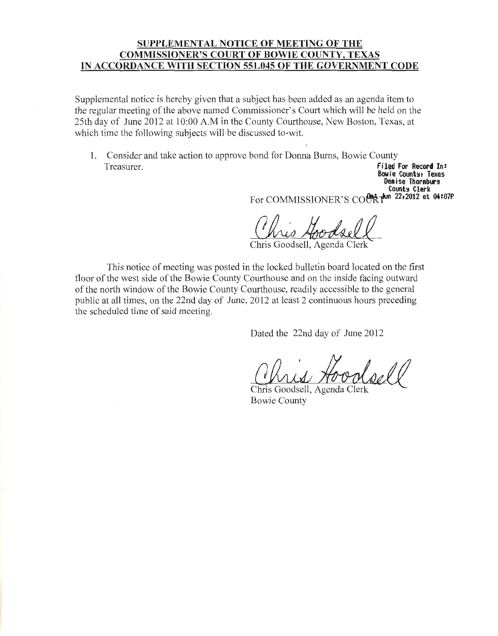# **SUPPLEMENTAL NOTICE OF MEETING OF THE COMMISSIONER'S COURT OF BOWIE COUNTY, TEXAS IN ACCORDANCE WITH SECTION 551.045 OF THE GOVERNMENT CODE**

Supplemental notice is hereby given that a subject has been added as an agenda item to the regular meeting of the above named Commissioner's Court which will be held on the 25th day of June 2012 at 10:00 A.M in the County Courthouse, New Boston, Texas, at which time the following subjects will be discussed to-wit.

1. Consider and take action to approve bond for Donna Burns, Bowie County Treasurer. **Filed For Record In:** 

**Bowie Counts, Texas Denise Thornburg Counh Clerk**  For COMMISSIONER'S CO<sup>UR</sup>R<sup>-Hun</sup> 22,2012 at 04:07P Genise increasures<br>For COMMISSIONER'S COURT Then 22,2012 at 04:07P<br>Chris Goodsell, Ager.da Clerk

This notice of meeting was posted in the locked bulletin board located on the first floor of the west side of the Bowie County Courthouse and on the inside facing outward of the north window of the Bowie County Courthouse, readily accessible to the general public at all times, on the 22nd day of June, 2012 at least 2 continuous hours preceding the scheduled time of said meeting.

Dated the 22nd day of June 2012

Dated the 22nd day of June 2012<br>Chris Goodsell, Agenda Clerk<br>Rowie County

Bowie County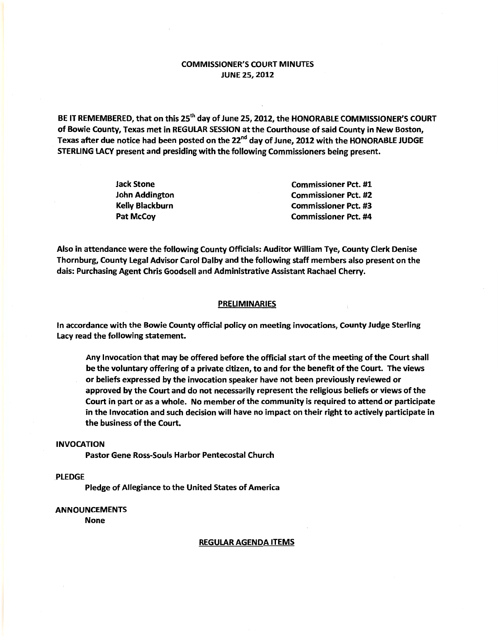## COMMISSIONER'S COURT MINUTES JUNE 25, 2012

BE IT REMEMBERED, that on this 25<sup>th</sup> day of June 25, 2012, the HONORABLE COMMISSIONER'S COURT of Bowie County, Texas met in REGULAR SESSION at the Courthouse of said County in New Boston, Texas after due notice had been posted on the 22"d day of June, 2012 with the HONORABLE JUDGE STERLING LACY present and presiding with the following Commissioners being present.

| Jack Stone             | <b>Commissioner Pct. #1</b> |
|------------------------|-----------------------------|
| John Addington         | <b>Commissioner Pct. #2</b> |
| <b>Kelly Blackburn</b> | <b>Commissioner Pct. #3</b> |
| Pat McCoy              | <b>Commissioner Pct. #4</b> |

Also in attendance were the following County Officials: Auditor William Tye, County Clerk Denise Thornburg, County Legal Advisor Carol Dalby and the following staff members also present on the dais: Purchasing Agent Chris Goodsell and Administrative Assistant Rachael Cherry.

### **PRELIMINARIES**

In accordance with the Bowie County official policy on meeting invocations, County Judge Sterling Lacy read the following statement.

Any Invocation that may be offered before the official start of the meeting of the Court shall be the voluntary offering of a private citizen, to and for the benefit of the Court. The views or beliefs expressed by the invocation speaker have not been previously reviewed or approved by the Court and do not necessarily represent the religious beliefs or views of the Court in part or as a whole. No member of the community is required to attend or participate in the Invocation and such decision will have no impact on their right to actively participate in the business of the Court.

### INVOCATION

Pastor Gene Ross-Souls Harbor Pentecostal Church

### .PLEDGE

Pledge of Allegiance to the United States of America

## ANNOUNCEMENTS

None

#### REGULAR AGENDA ITEMS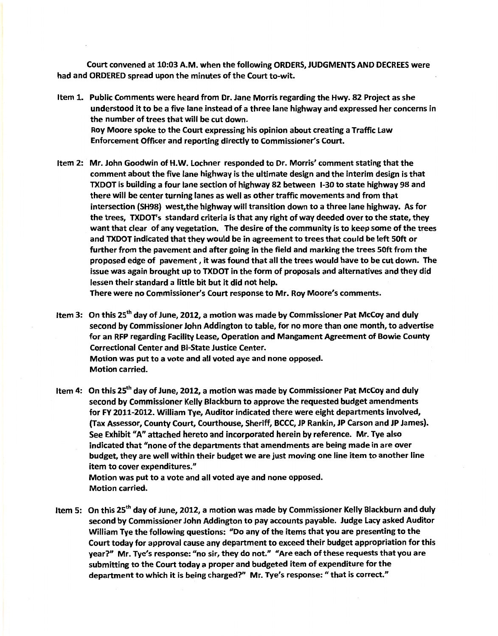Court convened at 10:03 A.M. when the following ORDERS, JUDGMENTS AND DECREES were had and ORDERED spread upon the minutes of the Court to-wit.

- Item 1. Public Comments were heard from Dr. Jane Morris regarding the Hwy. 82 Project as she understood it to be a five lane instead of a three lane highway and expressed her concerns in the number of trees that will be cut down. Roy Moore spoke to the Court expressing his opinion about creating a Traffic Law Enforcement Officer and reporting directly to Commissioner's Court.
- Item 2: Mr. John Goodwin of H.W.lochner responded to Dr. Morris' comment stating that the comment about the five lane highway is the ultimate design and the interim design is that TXDOT is building a four lane section of highway 82 between 1-30 to state highway 98 and there will be center turning lanes as well as other traffic movements and from that intersection (SH98} west, the highway will transition down to a three lane highway. As for the trees, TXDOT's standard criteria is that any right of way deeded over to the state, they want that clear of any vegetation. The desire of the community is to keep some of the trees and TXDOT indicated that they would be in agreement to trees that could be left SOft or further from the pavement and after going in the field and marking the trees SOft from the proposed edge of pavement, it was found that all the trees would have to be cut down. The issue was again brought up to TXDOT in the form of proposals and alternatives and they did lessen their standard a little bit but it did not help.

There were no Commissioner's Court response to Mr. Roy Moore's comments.

Item 3: On this 25<sup>th</sup> day of June, 2012, a motion was made by Commissioner Pat McCoy and duly second by Commissioner John Addington to table, for no more than one month, to advertise for an RFP regarding Facility lease, Operation and Mangament Agreement of Bowie County Correctional Center and Bi-State Justice Center. Motion was put to a vote and all voted aye and none opposed. Motion carried.

Item 4: On this 25<sup>th</sup> day of June, 2012, a motion was made by Commissioner Pat McCoy and duly second by Commissioner Kelly Blackburn to approve the requested budget amendments for FY 2011-2012. William Tye, Auditor indicated there were eight departments involved, (Tax Assessor, County Court, Courthouse, Sheriff, BCCC, JP Rankin, JP Carson and JP James). See Exhibit "A" attached hereto and incorporated herein by reference. Mr. Tye also indicated that "none of the departments that amendments are being made in are over budget, they are well within their budget we are just moving one line item to another line item to cover expenditures."

Motion was put to a vote and all voted aye and none opposed. Motion carried.

Item 5: On this 25<sup>th</sup> day of June, 2012, a motion was made by Commissioner Kelly Blackburn and duly second by Commissioner John Addington to pay accounts payable. Judge lacy asked Auditor William Tye the following questions: "Do any of the items that you are presenting to the Court today for approval cause any department to exceed their budget appropriation for this year?" Mr. Tye's response: "no sir, they do not." "Are each of these requests that you are submitting to the Court today a proper and budgeted item of expenditure for the department to which it is being charged?" Mr. Tye's response: "that is correct."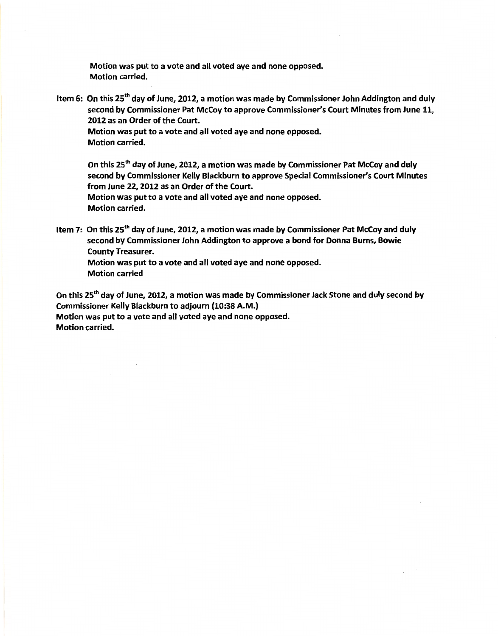Motion was put to a vote and all voted aye and none opposed. Motion carried.

Item 6: On this 25<sup>th</sup> day of June, 2012, a motion was made by Commissioner John Addington and duly second by Commissioner Pat McCoy to approve Commissioner's Court Minutes from June 11, 2012 as an Order of the Court.

Motion was put to a vote and all voted aye and none opposed. Motion carried.

On this 25<sup>th</sup> day of June, 2012, a motion was made by Commissioner Pat McCoy and duly second by Commissioner Kelly Blackburn to approve Special Commissioner's Court Minutes from June 22, 2012 as an Order of the Court.

Motion was put to a vote and all voted aye and none opposed. Motion carried.

Item 7: On this 25<sup>th</sup> day of June, 2012, a motion was made by Commissioner Pat McCoy and duly second by Commissioner John Addington to approve a bond for Donna Burns, Bowie County Treasurer. Motion was put to a vote and all voted aye and none opposed.

Motion carried

On this 25<sup>th</sup> day of June, 2012, a motion was made by Commissioner Jack Stone and duly second by Commissioner Kelly Blackburn to adjourn (10:38 A.M.) Motion was put to a vote and all voted aye and none opposed. Motion carried.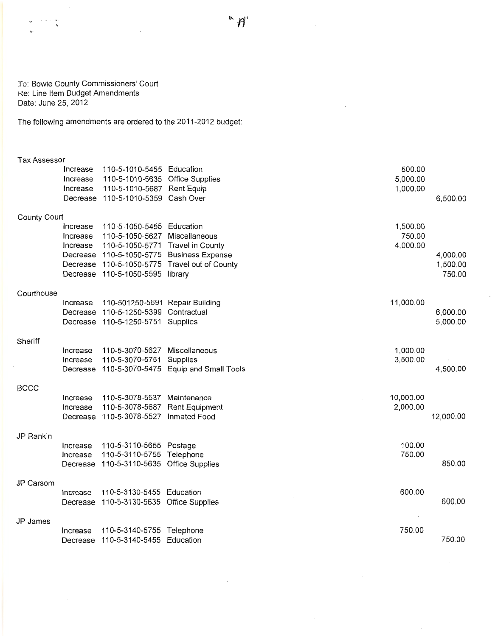J o: Bowie County Commissioners' Court Re: Line Item Budget Amendments Date: June 25, 2012

The following amendments are ordered to the 2011-2012 budget:

#### Tax Assessor

 $\beta\rightarrow\gamma$  or  $\mathbf{s}$ 

|              | Increase | 110-5-1010-5455 Education                | 500.00                                         |           |
|--------------|----------|------------------------------------------|------------------------------------------------|-----------|
|              | Increase | 110-5-1010-5635 Office Supplies          | 5,000.00                                       |           |
|              | Increase | 110-5-1010-5687 Rent Equip               | 1,000.00                                       |           |
|              |          | Decrease 110-5-1010-5359 Cash Over       |                                                | 6,500.00  |
| County Court |          |                                          |                                                |           |
|              | Increase | 110-5-1050-5455 Education                | 1,500.00                                       |           |
|              | Increase | 110-5-1050-5627                          | Miscellaneous<br>750.00                        |           |
|              | Increase | 110-5-1050-5771 Travel in County         | 4,000.00                                       |           |
|              |          |                                          | Decrease 110-5-1050-5775 Business Expense      | 4,000.00  |
|              |          |                                          | Decrease 110-5-1050-5775 Travel out of County  | 1,500.00  |
|              |          | Decrease 110-5-1050-5595 library         |                                                | 750.00    |
| Courthouse   |          |                                          |                                                |           |
|              | Increase | 110-501250-5691 Repair Building          | 11,000.00                                      |           |
|              |          | Decrease 110-5-1250-5399 Contractual     |                                                | 6,000.00  |
|              |          | Decrease 110-5-1250-5751 Supplies        |                                                | 5,000.00  |
|              |          |                                          |                                                |           |
| Sheriff      |          |                                          |                                                |           |
|              | Increase | 110-5-3070-5627 Miscellaneous            | 1,000.00                                       |           |
|              | Increase | 110-5-3070-5751                          | 3,500.00<br>Supplies                           |           |
|              |          |                                          | Decrease 110-5-3070-5475 Equip and Small Tools | 4,500.00  |
| <b>BCCC</b>  |          |                                          |                                                |           |
|              | Increase | 110-5-3078-5537 Maintenance              | 10,000.00                                      |           |
|              | Increase | 110-5-3078-5687 Rent Equipment           | 2,000.00                                       |           |
|              |          | Decrease 110-5-3078-5527 Inmated Food    |                                                | 12,000.00 |
| JP Rankin    |          |                                          |                                                |           |
|              | Increase | 110-5-3110-5655 Postage                  | 100.00                                         |           |
|              | Increase | 110-5-3110-5755 Telephone                | 750.00                                         |           |
|              |          | Decrease 110-5-3110-5635 Office Supplies |                                                | 850.00    |
|              |          |                                          |                                                |           |
| JP Carsom    |          |                                          |                                                |           |
|              | Increase | 110-5-3130-5455 Education                | 600.00                                         |           |
|              |          | Decrease 110-5-3130-5635 Office Supplies |                                                | 600.00    |
| JP James     |          |                                          |                                                |           |
|              | Increase | 110-5-3140-5755 Telephone                | 750.00                                         |           |
|              | Decrease | 110-5-3140-5455 Education                |                                                | 750.00    |

 $\sim$